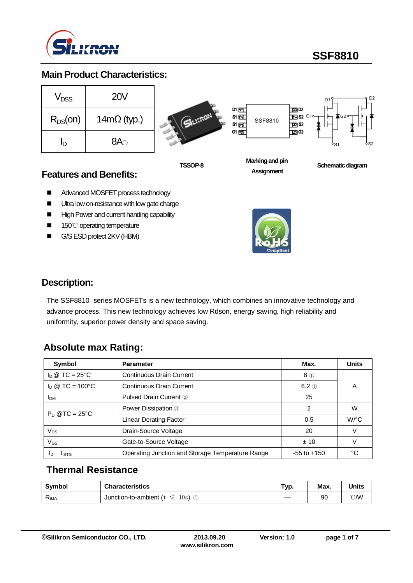

**SSF8810**

## **Main Product Characteristics:**

| $V_{DSS}$    | <b>20V</b>         |
|--------------|--------------------|
| $R_{DS}(on)$ | $14m\Omega$ (typ.) |
| ln           | 8A <sub>0</sub>    |

**Sil**Lifton





**TSSOP-8**

**Marking and pin Assignment**

 $\overline{100}$  D<sub>2</sub>

 $\overline{10}$  S<sub>2</sub>

**Schematic diagram** 

## **Features and Benefits:**

- Advanced MOSFET process technology
- Ultra low on-resistance with low gate charge
- High Power and current handing capability
- 150℃ operating temperature
- G/S ESD protect 2KV (HBM)



## **Description:**

The SSF8810 series MOSFETs is a new technology, which combines an innovative technology and advance process. This new technology achieves low Rdson, energy saving, high reliability and uniformity, superior power density and space saving.

## **Absolute max Rating:**

| Symbol                 | <b>Parameter</b>                                 | Max.            | <b>Units</b>         |
|------------------------|--------------------------------------------------|-----------------|----------------------|
| $I_D @ TC = 25°C$      | <b>Continuous Drain Current</b>                  | $8$ ①           |                      |
| $I_D @ TC = 100°C$     | <b>Continuous Drain Current</b>                  | $6.2$ ①         | Α                    |
| <b>I</b> <sub>DM</sub> | <b>Pulsed Drain Current 2</b>                    | 25              |                      |
| $P_D @TC = 25°C$       | Power Dissipation 3                              | 2               | W                    |
|                        | <b>Linear Derating Factor</b>                    | 0.5             | $W$ <sup>o</sup> $C$ |
| $V_{DS}$               | Drain-Source Voltage                             | 20              |                      |
| $V_{GS}$               | Gate-to-Source Voltage                           | ±10             |                      |
| I STG                  | Operating Junction and Storage Temperature Range | $-55$ to $+150$ | °C                   |

## **Thermal Resistance**

| <b>Symbol</b>  | <b>Characteristics</b>                | Typ. | Max. | Units        |
|----------------|---------------------------------------|------|------|--------------|
| $R_{\theta$ JA | 10s<br>Junction-to-ambient ( $t \leq$ |      | 90   | $\degree$ CM |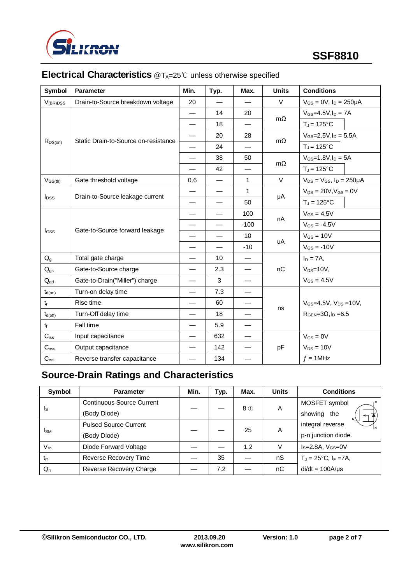

| Symbol                   | <b>Parameter</b>                     | Min.                     | Typ.                     | Max.                     | <b>Units</b> | <b>Conditions</b>                     |  |
|--------------------------|--------------------------------------|--------------------------|--------------------------|--------------------------|--------------|---------------------------------------|--|
| $V_{(BR)DSS}$            | Drain-to-Source breakdown voltage    | 20                       |                          |                          | $\vee$       | $V_{GS} = 0V$ , $I_D = 250 \mu A$     |  |
|                          |                                      |                          | 14                       | 20                       |              | $V_{GS} = 4.5V, I_D = 7A$             |  |
|                          |                                      |                          | 18                       | $\overline{\phantom{0}}$ | $m\Omega$    | $T_J = 125$ °C                        |  |
|                          |                                      | $\overline{\phantom{0}}$ | 20                       | 28                       |              | $V_{GS} = 2.5 V, I_D = 5.5 A$         |  |
| $R_{DS(on)}$             | Static Drain-to-Source on-resistance |                          | 24                       |                          | $m\Omega$    | $T_J = 125$ °C                        |  |
|                          |                                      |                          | 38                       | 50                       |              | $V_{GS} = 1.8 V, I_D = 5A$            |  |
|                          |                                      |                          | 42                       |                          | $m\Omega$    | $T_J = 125$ °C                        |  |
| $V_{GS(th)}$             | Gate threshold voltage               | 0.6                      |                          | $\mathbf{1}$             | $\vee$       | $V_{DS} = V_{GS}$ , $I_D = 250 \mu A$ |  |
|                          |                                      |                          | $\overline{\phantom{0}}$ | $\mathbf{1}$             |              | $V_{DS} = 20V, V_{GS} = 0V$           |  |
| <b>I</b> <sub>pss</sub>  | Drain-to-Source leakage current      |                          | $\overline{\phantom{0}}$ | 50                       | μA           | $T_J = 125$ °C                        |  |
|                          | Gate-to-Source forward leakage       |                          | $\overline{\phantom{0}}$ | 100                      | nA           | $V_{GS} = 4.5V$                       |  |
|                          |                                      |                          | $\overline{\phantom{0}}$ | $-100$                   |              | $V_{GS} = -4.5V$                      |  |
| I <sub>GSS</sub>         |                                      |                          | $\overline{\phantom{0}}$ | 10                       |              | $V_{GS} = 10V$                        |  |
|                          |                                      |                          |                          | $-10$                    | uA           | $V_{GS} = -10V$                       |  |
| $Q_q$                    | Total gate charge                    |                          | 10 <sup>1</sup>          |                          |              | $I_D = 7A$ ,                          |  |
| $\mathsf{Q}_{\text{gs}}$ | Gate-to-Source charge                |                          | 2.3                      |                          | nC           | $V_{DS}=10V$ ,                        |  |
| $Q_{gd}$                 | Gate-to-Drain("Miller") charge       |                          | 3                        |                          |              | $V_{GS} = 4.5V$                       |  |
| $t_{d(on)}$              | Turn-on delay time                   |                          | 7.3                      |                          |              |                                       |  |
| $t_r$                    | Rise time                            |                          | 60                       |                          |              | $V_{GS} = 4.5V$ , $V_{DS} = 10V$ ,    |  |
| $t_{d(off)}$             | Turn-Off delay time                  |                          | 18                       |                          | ns           | $RGEN=3\Omega, ID=6.5$                |  |
| $t_{\rm f}$              | Fall time                            |                          | 5.9                      |                          |              |                                       |  |
| $C_{iss}$                | Input capacitance                    |                          | 632                      |                          |              | $V_{GS} = 0V$                         |  |
| C <sub>oss</sub>         | Output capacitance                   |                          | 142                      |                          | pF           | $V_{DS} = 10V$                        |  |
| $C_{\mathsf{rss}}$       | Reverse transfer capacitance         |                          | 134                      |                          |              | $f = 1$ MHz                           |  |

# **Electrical Characteristics** @T<sub>A</sub>=25℃ unless otherwise specified

# **Source-Drain Ratings and Characteristics**

| Symbol       | <b>Parameter</b>                 | Min. | Typ. | Max.  | <b>Units</b> | <b>Conditions</b>                  |
|--------------|----------------------------------|------|------|-------|--------------|------------------------------------|
|              | <b>Continuous Source Current</b> |      |      | $8$ ① | Α            | MOSFET symbol                      |
| <sub>s</sub> | (Body Diode)                     |      |      |       |              | showing the                        |
| <b>I</b> sm  | <b>Pulsed Source Current</b>     |      |      | 25    | A            | integral reverse                   |
|              | (Body Diode)                     |      |      |       |              | p-n junction diode.                |
| $V_{SD}$     | Diode Forward Voltage            |      |      | 1.2   | V            | $IS=2.8A, VGS=0V$                  |
| $t_{rr}$     | Reverse Recovery Time            |      | 35   |       | nS           | $T_J = 25^{\circ}C$ , $I_F = 7A$ , |
| $Q_{rr}$     | Reverse Recovery Charge          |      | 7.2  |       | nC           | $di/dt = 100A/\mu s$               |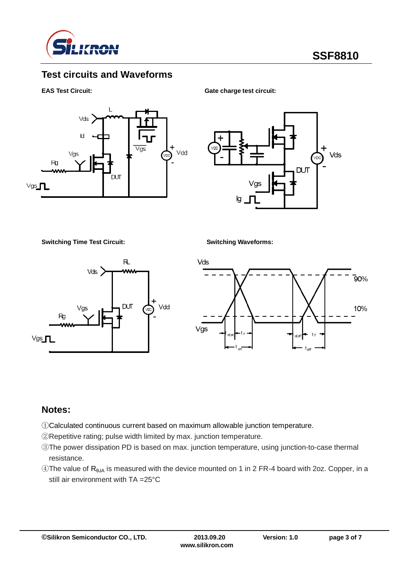

## **Test circuits and Waveforms**

#### **EAS Test Circuit:** Gate charge test circuit:



Vds **DUT** 

**Switching Time Test Circuit: Switching Waveforms:**





### **Notes:**

- ①Calculated continuous current based on maximum allowable junction temperature.
- ②Repetitive rating; pulse width limited by max. junction temperature.
- ③The power dissipation PD is based on max. junction temperature, using junction-to-case thermal resistance.
- $\circledA$ The value of R<sub>θJA</sub> is measured with the device mounted on 1 in 2 FR-4 board with 2oz. Copper, in a still air environment with TA =25°C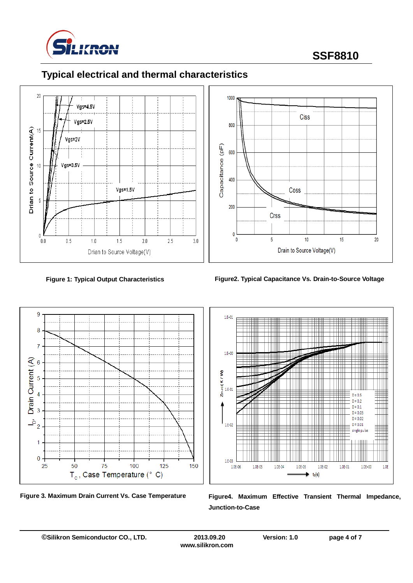

# **SSF8810**







**Figure 1: Typical Output Characteristics Figure2. Typical Capacitance Vs. Drain-to-Source Voltage**







Figure 3. Maximum Drain Current Vs. Case Temperature Figure4. Maximum Effective Transient Thermal Impedance, **Junction-to-Case**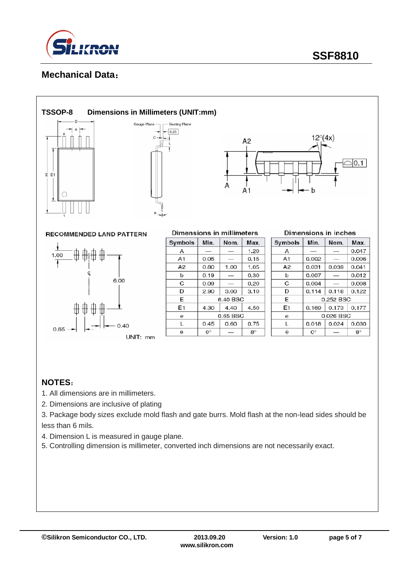

## **Mechanical Data**:



# Gauge Plane Seating Plane  $-0.25$  $\mathcal{C}$



**RECOMMENDED LAND PATTERN** 



| Dimensions in millimeters |             |          |           |  |  |
|---------------------------|-------------|----------|-----------|--|--|
| Symbols                   | Min.        | Nom.     | Max.      |  |  |
| А                         |             |          | 1.20      |  |  |
| A <sub>1</sub>            | 0.05        |          | 0.15      |  |  |
| A2                        | 0.80        | 1.00     | 1.05      |  |  |
| b                         | 0.19        |          | 0.30      |  |  |
| C                         | 0.09        |          | 0.20      |  |  |
| D                         | 2.90        | 3.00     | 3.10      |  |  |
| E                         |             | 6.40 BSC |           |  |  |
| E1                        | 4.30        | 4.40     | 4.50      |  |  |
| е                         | 0.65 BSC    |          |           |  |  |
| L                         | 0.45        | 0.60     | 0.75      |  |  |
| θ                         | $0^{\circ}$ |          | $8^\circ$ |  |  |

| Dimensions in inches |  |  |
|----------------------|--|--|
|                      |  |  |

| Symbols | Min.      | Nom.      | Max.        |
|---------|-----------|-----------|-------------|
| А       |           |           | 0.047       |
| A1      | 0.002     |           | 0.006       |
| A2      | 0.031     | 0.039     | 0.041       |
| b       | 0.007     |           | 0.012       |
| C       | 0.004     |           | 0.008       |
| D       | 0.114     | 0.118     | 0.122       |
| E       |           | 0.252 BSC |             |
| E1      | 0.169     | 0.173     | 0.177       |
| е       | 0.026 BSC |           |             |
|         | 0.018     | 0.024     | 0.030       |
| A       | 0°        |           | $8^{\circ}$ |

## **NOTES**:

- 1. All dimensions are in millimeters.
- 2. Dimensions are inclusive of plating
- 3. Package body sizes exclude mold flash and gate burrs. Mold flash at the non-lead sides should be less than 6 mils.
- 4. Dimension L is measured in gauge plane.
- 5. Controlling dimension is millimeter, converted inch dimensions are not necessarily exact.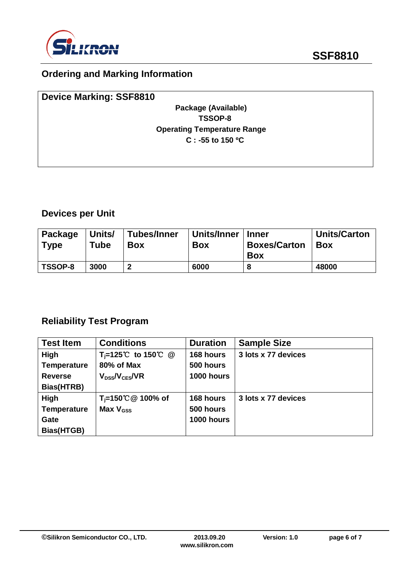

# **Ordering and Marking Information**

| <b>Device Marking: SSF8810</b>     |  |
|------------------------------------|--|
| Package (Available)                |  |
| TSSOP-8                            |  |
| <b>Operating Temperature Range</b> |  |
| $C: -55$ to 150 °C                 |  |
|                                    |  |
|                                    |  |

# **Devices per Unit**

| Package<br><b>Type</b> | Units/<br>Tube | Tubes/Inner<br><b>Box</b> | Units/Inner<br><b>Box</b> | <b>Inner</b><br><b>Boxes/Carton</b><br><b>Box</b> | <b>Units/Carton</b><br><b>Box</b> |
|------------------------|----------------|---------------------------|---------------------------|---------------------------------------------------|-----------------------------------|
| TSSOP-8                | 3000           | ּ                         | 6000                      |                                                   | 48000                             |

# **Reliability Test Program**

| <b>Test Item</b>   | <b>Conditions</b>              | <b>Duration</b> | <b>Sample Size</b>  |
|--------------------|--------------------------------|-----------------|---------------------|
| High               | T <sub>i</sub> =125℃ to 150℃ @ | 168 hours       | 3 lots x 77 devices |
| <b>Temperature</b> | 80% of Max                     | 500 hours       |                     |
| <b>Reverse</b>     | $V_{DSS}/V_{CES}/VR$           | 1000 hours      |                     |
| Bias(HTRB)         |                                |                 |                     |
| High               | T <sub>i</sub> =150℃ @ 100% of | 168 hours       | 3 lots x 77 devices |
| <b>Temperature</b> | Max $V_{\text{GSS}}$           | 500 hours       |                     |
| Gate               |                                | 1000 hours      |                     |
| Bias(HTGB)         |                                |                 |                     |